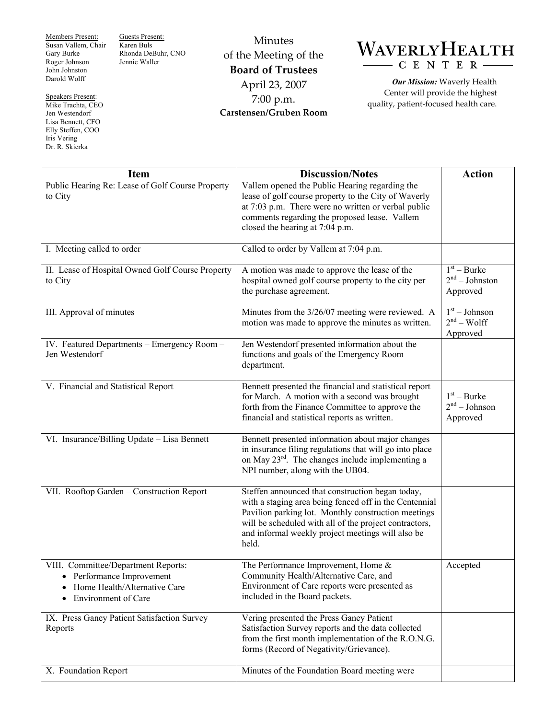Members Present: Susan Vallem, Chair Gary Burke Roger Johnson John Johnston Darold Wolff

Guests Present: Karen Buls Rhonda DeBuhr, CNO Jennie Waller

Speakers Present: Mike Trachta, CEO Jen Westendorf Lisa Bennett, CFO Elly Steffen, COO Iris Vering Dr. R. Skierka

Minutes of the Meeting of the **Board of Trustees**  April 23, 2007 7:00 p.m. **Carstensen/Gruben Room** 

## WAVERLYHEALTH  $- C E N T E R$

*Our Mission:* Waverly Health Center will provide the highest quality, patient-focused health care.

| <b>Item</b>                                                                                                                               | <b>Discussion/Notes</b>                                                                                                                                                                                                                                                                   | <b>Action</b>                                 |
|-------------------------------------------------------------------------------------------------------------------------------------------|-------------------------------------------------------------------------------------------------------------------------------------------------------------------------------------------------------------------------------------------------------------------------------------------|-----------------------------------------------|
| Public Hearing Re: Lease of Golf Course Property<br>to City                                                                               | Vallem opened the Public Hearing regarding the<br>lease of golf course property to the City of Waverly<br>at 7:03 p.m. There were no written or verbal public<br>comments regarding the proposed lease. Vallem<br>closed the hearing at 7:04 p.m.                                         |                                               |
| I. Meeting called to order                                                                                                                | Called to order by Vallem at 7:04 p.m.                                                                                                                                                                                                                                                    |                                               |
| II. Lease of Hospital Owned Golf Course Property<br>to City                                                                               | A motion was made to approve the lease of the<br>hospital owned golf course property to the city per<br>the purchase agreement.                                                                                                                                                           | $1st - Burke$<br>$2nd - Johnston$<br>Approved |
| III. Approval of minutes                                                                                                                  | Minutes from the 3/26/07 meeting were reviewed. A<br>motion was made to approve the minutes as written.                                                                                                                                                                                   | $1st - Johnson$<br>$2nd - Wolf$<br>Approved   |
| IV. Featured Departments - Emergency Room -<br>Jen Westendorf                                                                             | Jen Westendorf presented information about the<br>functions and goals of the Emergency Room<br>department.                                                                                                                                                                                |                                               |
| V. Financial and Statistical Report                                                                                                       | Bennett presented the financial and statistical report<br>for March. A motion with a second was brought<br>forth from the Finance Committee to approve the<br>financial and statistical reports as written.                                                                               | $1st - Burke$<br>$2nd - Johnson$<br>Approved  |
| VI. Insurance/Billing Update - Lisa Bennett                                                                                               | Bennett presented information about major changes<br>in insurance filing regulations that will go into place<br>on May $23^{\text{rd}}$ . The changes include implementing a<br>NPI number, along with the UB04.                                                                          |                                               |
| VII. Rooftop Garden - Construction Report                                                                                                 | Steffen announced that construction began today,<br>with a staging area being fenced off in the Centennial<br>Pavilion parking lot. Monthly construction meetings<br>will be scheduled with all of the project contractors,<br>and informal weekly project meetings will also be<br>held. |                                               |
| VIII. Committee/Department Reports:<br>Performance Improvement<br>Home Health/Alternative Care<br><b>Environment</b> of Care<br>$\bullet$ | The Performance Improvement, Home &<br>Community Health/Alternative Care, and<br>Environment of Care reports were presented as<br>included in the Board packets.                                                                                                                          | Accepted                                      |
| IX. Press Ganey Patient Satisfaction Survey<br>Reports                                                                                    | Vering presented the Press Ganey Patient<br>Satisfaction Survey reports and the data collected<br>from the first month implementation of the R.O.N.G.<br>forms (Record of Negativity/Grievance).                                                                                          |                                               |
| X. Foundation Report                                                                                                                      | Minutes of the Foundation Board meeting were                                                                                                                                                                                                                                              |                                               |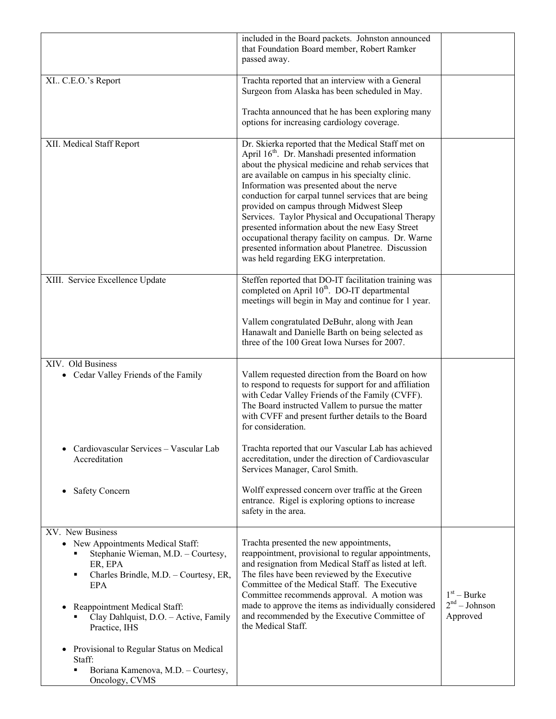| included in the Board packets. Johnston announced<br>that Foundation Board member, Robert Ramker<br>passed away.                                                                                                                                                                                                                                                                                                                                                                                                                                                                                                                            |                                              |
|---------------------------------------------------------------------------------------------------------------------------------------------------------------------------------------------------------------------------------------------------------------------------------------------------------------------------------------------------------------------------------------------------------------------------------------------------------------------------------------------------------------------------------------------------------------------------------------------------------------------------------------------|----------------------------------------------|
| Trachta reported that an interview with a General<br>Surgeon from Alaska has been scheduled in May.                                                                                                                                                                                                                                                                                                                                                                                                                                                                                                                                         |                                              |
| Trachta announced that he has been exploring many<br>options for increasing cardiology coverage.                                                                                                                                                                                                                                                                                                                                                                                                                                                                                                                                            |                                              |
| Dr. Skierka reported that the Medical Staff met on<br>April 16 <sup>th</sup> . Dr. Manshadi presented information<br>about the physical medicine and rehab services that<br>are available on campus in his specialty clinic.<br>Information was presented about the nerve<br>conduction for carpal tunnel services that are being<br>provided on campus through Midwest Sleep<br>Services. Taylor Physical and Occupational Therapy<br>presented information about the new Easy Street<br>occupational therapy facility on campus. Dr. Warne<br>presented information about Planetree. Discussion<br>was held regarding EKG interpretation. |                                              |
| Steffen reported that DO-IT facilitation training was<br>completed on April 10 <sup>th</sup> . DO-IT departmental<br>meetings will begin in May and continue for 1 year.                                                                                                                                                                                                                                                                                                                                                                                                                                                                    |                                              |
| Vallem congratulated DeBuhr, along with Jean<br>Hanawalt and Danielle Barth on being selected as<br>three of the 100 Great Iowa Nurses for 2007.                                                                                                                                                                                                                                                                                                                                                                                                                                                                                            |                                              |
| Vallem requested direction from the Board on how<br>to respond to requests for support for and affiliation<br>with Cedar Valley Friends of the Family (CVFF).<br>The Board instructed Vallem to pursue the matter<br>with CVFF and present further details to the Board<br>for consideration.                                                                                                                                                                                                                                                                                                                                               |                                              |
| Trachta reported that our Vascular Lab has achieved<br>accreditation, under the direction of Cardiovascular<br>Services Manager, Carol Smith.                                                                                                                                                                                                                                                                                                                                                                                                                                                                                               |                                              |
| Wolff expressed concern over traffic at the Green<br>entrance. Rigel is exploring options to increase<br>safety in the area.                                                                                                                                                                                                                                                                                                                                                                                                                                                                                                                |                                              |
| Trachta presented the new appointments,<br>reappointment, provisional to regular appointments,<br>and resignation from Medical Staff as listed at left.<br>The files have been reviewed by the Executive<br>Committee of the Medical Staff. The Executive<br>Committee recommends approval. A motion was<br>made to approve the items as individually considered<br>and recommended by the Executive Committee of<br>the Medical Staff.                                                                                                                                                                                                     | $1st - Burke$<br>$2nd - Johnson$<br>Approved |
|                                                                                                                                                                                                                                                                                                                                                                                                                                                                                                                                                                                                                                             |                                              |